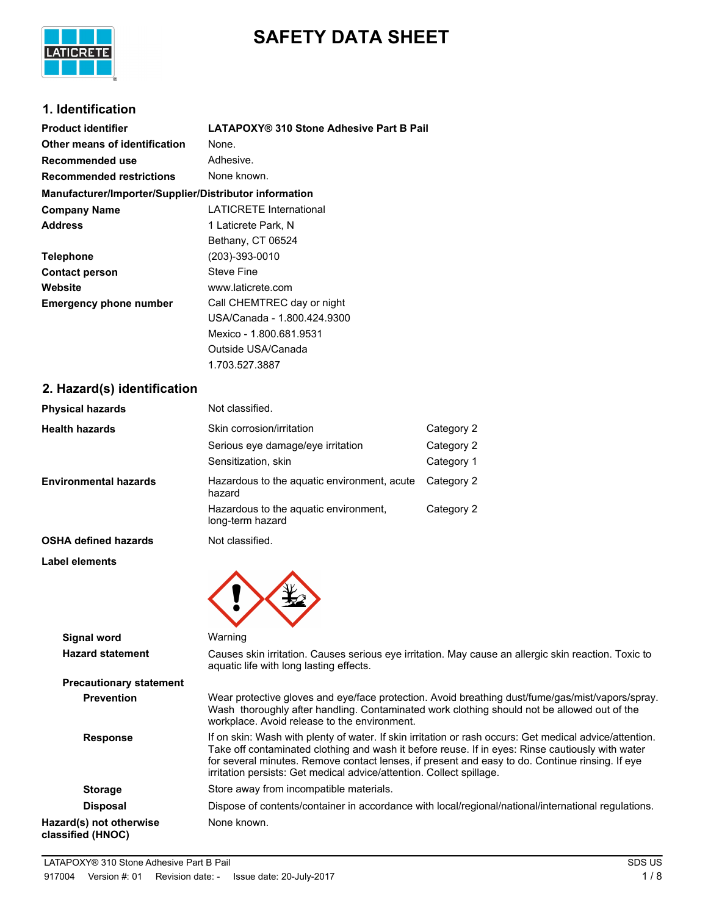

# **SAFETY DATA SHEET**

### **1. Identification**

| <b>Product identifier</b>                              | LATAPOXY® 310 Stone Adhesive Part B Pail |
|--------------------------------------------------------|------------------------------------------|
| Other means of identification                          | None.                                    |
| Recommended use                                        | Adhesive.                                |
| <b>Recommended restrictions</b>                        | None known.                              |
| Manufacturer/Importer/Supplier/Distributor information |                                          |
| <b>Company Name</b>                                    | <b>LATICRETE International</b>           |
| <b>Address</b>                                         | 1 Laticrete Park, N                      |
|                                                        | Bethany, CT 06524                        |
| <b>Telephone</b>                                       | (203)-393-0010                           |
| <b>Contact person</b>                                  | Steve Fine                               |
| Website                                                | www.laticrete.com                        |
| <b>Emergency phone number</b>                          | Call CHEMTREC day or night               |
|                                                        | USA/Canada - 1.800.424.9300              |
|                                                        | Mexico - 1.800.681.9531                  |
|                                                        | Outside USA/Canada                       |
|                                                        | 1.703.527.3887                           |

#### **2. Hazard(s) identification**

| <b>Physical hazards</b>        | Not classified.                                                                                                                                                                  |                                        |
|--------------------------------|----------------------------------------------------------------------------------------------------------------------------------------------------------------------------------|----------------------------------------|
| <b>Health hazards</b>          | Skin corrosion/irritation<br>Serious eye damage/eye irritation<br>Sensitization, skin                                                                                            | Category 2<br>Category 2<br>Category 1 |
| <b>Environmental hazards</b>   | Hazardous to the aquatic environment, acute<br>hazard                                                                                                                            | Category 2                             |
|                                | Hazardous to the aquatic environment,<br>long-term hazard                                                                                                                        | Category 2                             |
| <b>OSHA defined hazards</b>    | Not classified.                                                                                                                                                                  |                                        |
| Label elements                 |                                                                                                                                                                                  |                                        |
| <b>Signal word</b>             | Warning                                                                                                                                                                          |                                        |
| <b>Hazard statement</b>        | Causes skin irritation. Causes serious eye irritation. May cause<br>aquatic life with long lasting effects.                                                                      |                                        |
| <b>Precautionary statement</b> |                                                                                                                                                                                  |                                        |
| <b>Prevention</b>              | Wear protective gloves and eye/face protection. Avoid breathing<br>Wash thoroughly after handling. Contaminated work clothing so<br>workplace. Avoid release to the environment. |                                        |
| <b>Response</b>                | If on skin: Wash with plenty of water. If skin irritation or rash oco                                                                                                            |                                        |

g dust/fume/gas/mist/vapors/spray. bould not be allowed out of the **Rurs: Get medical advice/attention.** Take off contaminated clothing and wash it before reuse. If in eyes: Rinse cautiously with water for several minutes. Remove contact lenses, if present and easy to do. Continue rinsing. If eye irritation persists: Get medical advice/attention. Collect spillage. **Storage** Store away from incompatible materials. **Disposal** Dispose of contents/container in accordance with local/regional/national/international regulations. **Hazard(s) not otherwise classified (HNOC)** None known.

an allergic skin reaction. Toxic to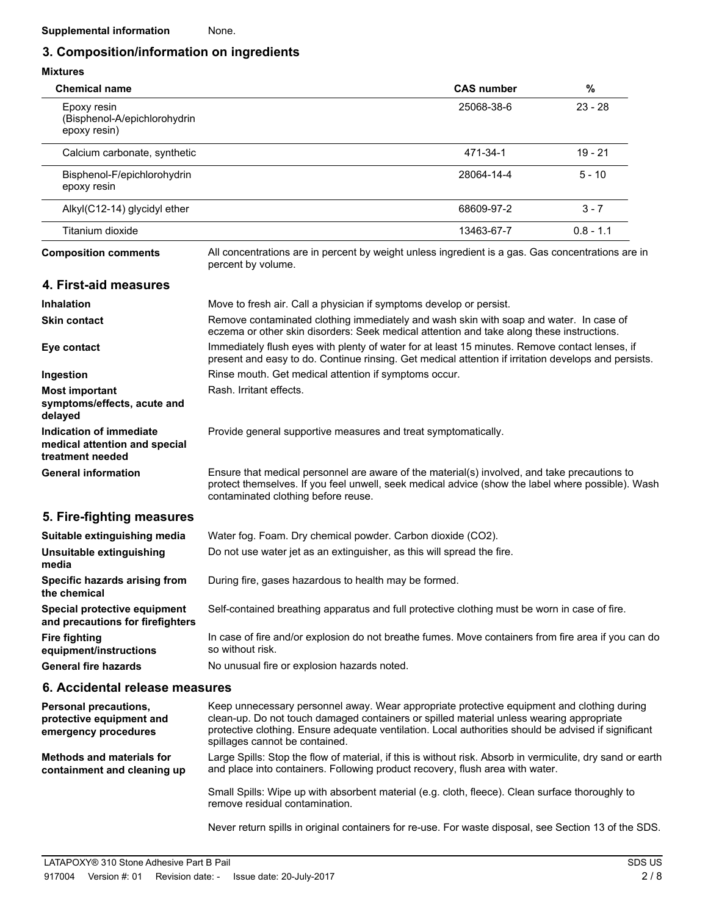## **3. Composition/information on ingredients**

| <b>Mixtures</b>                                                              |                                                                                                                                                                                                                                                                                                                                  |                   |             |
|------------------------------------------------------------------------------|----------------------------------------------------------------------------------------------------------------------------------------------------------------------------------------------------------------------------------------------------------------------------------------------------------------------------------|-------------------|-------------|
| <b>Chemical name</b>                                                         |                                                                                                                                                                                                                                                                                                                                  | <b>CAS number</b> | $\%$        |
| Epoxy resin<br>(Bisphenol-A/epichlorohydrin<br>epoxy resin)                  |                                                                                                                                                                                                                                                                                                                                  | 25068-38-6        | $23 - 28$   |
| Calcium carbonate, synthetic                                                 |                                                                                                                                                                                                                                                                                                                                  | 471-34-1          | $19 - 21$   |
| Bisphenol-F/epichlorohydrin<br>epoxy resin                                   |                                                                                                                                                                                                                                                                                                                                  | 28064-14-4        | $5 - 10$    |
| Alkyl(C12-14) glycidyl ether                                                 |                                                                                                                                                                                                                                                                                                                                  | 68609-97-2        | $3 - 7$     |
| Titanium dioxide                                                             |                                                                                                                                                                                                                                                                                                                                  | 13463-67-7        | $0.8 - 1.1$ |
| <b>Composition comments</b>                                                  | All concentrations are in percent by weight unless ingredient is a gas. Gas concentrations are in<br>percent by volume.                                                                                                                                                                                                          |                   |             |
| 4. First-aid measures                                                        |                                                                                                                                                                                                                                                                                                                                  |                   |             |
| <b>Inhalation</b>                                                            | Move to fresh air. Call a physician if symptoms develop or persist.                                                                                                                                                                                                                                                              |                   |             |
| <b>Skin contact</b>                                                          | Remove contaminated clothing immediately and wash skin with soap and water. In case of<br>eczema or other skin disorders: Seek medical attention and take along these instructions.                                                                                                                                              |                   |             |
| Eye contact                                                                  | Immediately flush eyes with plenty of water for at least 15 minutes. Remove contact lenses, if<br>present and easy to do. Continue rinsing. Get medical attention if irritation develops and persists.                                                                                                                           |                   |             |
| Ingestion                                                                    | Rinse mouth. Get medical attention if symptoms occur.                                                                                                                                                                                                                                                                            |                   |             |
| <b>Most important</b><br>symptoms/effects, acute and<br>delayed              | Rash. Irritant effects.                                                                                                                                                                                                                                                                                                          |                   |             |
| Indication of immediate<br>medical attention and special<br>treatment needed | Provide general supportive measures and treat symptomatically.                                                                                                                                                                                                                                                                   |                   |             |
| <b>General information</b>                                                   | Ensure that medical personnel are aware of the material(s) involved, and take precautions to<br>protect themselves. If you feel unwell, seek medical advice (show the label where possible). Wash<br>contaminated clothing before reuse.                                                                                         |                   |             |
| 5. Fire-fighting measures                                                    |                                                                                                                                                                                                                                                                                                                                  |                   |             |
| Suitable extinguishing media                                                 | Water fog. Foam. Dry chemical powder. Carbon dioxide (CO2).                                                                                                                                                                                                                                                                      |                   |             |
| Unsuitable extinguishing<br>media                                            | Do not use water jet as an extinguisher, as this will spread the fire.                                                                                                                                                                                                                                                           |                   |             |
| Specific hazards arising from<br>the chemical                                | During fire, gases hazardous to health may be formed.                                                                                                                                                                                                                                                                            |                   |             |
| Special protective equipment<br>and precautions for firefighters             | Self-contained breathing apparatus and full protective clothing must be worn in case of fire.                                                                                                                                                                                                                                    |                   |             |
| <b>Fire fighting</b><br>equipment/instructions                               | In case of fire and/or explosion do not breathe fumes. Move containers from fire area if you can do<br>so without risk.                                                                                                                                                                                                          |                   |             |
| <b>General fire hazards</b>                                                  | No unusual fire or explosion hazards noted.                                                                                                                                                                                                                                                                                      |                   |             |
| 6. Accidental release measures                                               |                                                                                                                                                                                                                                                                                                                                  |                   |             |
| Personal precautions,<br>protective equipment and<br>emergency procedures    | Keep unnecessary personnel away. Wear appropriate protective equipment and clothing during<br>clean-up. Do not touch damaged containers or spilled material unless wearing appropriate<br>protective clothing. Ensure adequate ventilation. Local authorities should be advised if significant<br>spillages cannot be contained. |                   |             |
| <b>Methods and materials for</b><br>containment and cleaning up              | Large Spills: Stop the flow of material, if this is without risk. Absorb in vermiculite, dry sand or earth<br>and place into containers. Following product recovery, flush area with water.                                                                                                                                      |                   |             |
|                                                                              | Small Spills: Wipe up with absorbent material (e.g. cloth, fleece). Clean surface thoroughly to<br>remove residual contamination.                                                                                                                                                                                                |                   |             |

Never return spills in original containers for re-use. For waste disposal, see Section 13 of the SDS.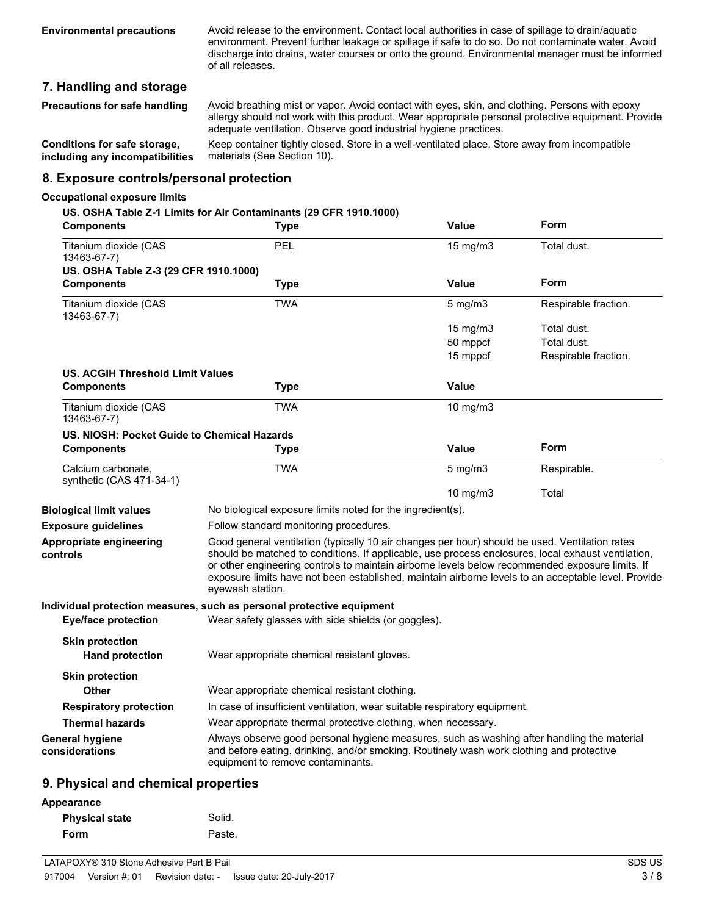Avoid release to the environment. Contact local authorities in case of spillage to drain/aquatic environment. Prevent further leakage or spillage if safe to do so. Do not contaminate water. Avoid discharge into drains, water courses or onto the ground. Environmental manager must be informed of all releases.

### **7. Handling and storage**

| <b>Precautions for safe handling</b> | Avoid breathing mist or vapor. Avoid contact with eyes, skin, and clothing. Persons with epoxy<br>allergy should not work with this product. Wear appropriate personal protective equipment. Provide<br>adequate ventilation. Observe good industrial hygiene practices. |
|--------------------------------------|--------------------------------------------------------------------------------------------------------------------------------------------------------------------------------------------------------------------------------------------------------------------------|
| Conditions for safe storage,         | Keep container tightly closed. Store in a well-ventilated place. Store away from incompatible                                                                                                                                                                            |
| including any incompatibilities      | materials (See Section 10).                                                                                                                                                                                                                                              |

#### **8. Exposure controls/personal protection**

#### **Occupational exposure limits**

#### **US. OSHA Table Z-1 Limits for Air Contaminants (29 CFR 1910.1000)**

| <b>Components</b>                                | <b>Type</b>                                                                                                                                                                                                                                                                                                                                                                                                                        | <b>Value</b>     | Form                 |
|--------------------------------------------------|------------------------------------------------------------------------------------------------------------------------------------------------------------------------------------------------------------------------------------------------------------------------------------------------------------------------------------------------------------------------------------------------------------------------------------|------------------|----------------------|
| Titanium dioxide (CAS<br>13463-67-7)             | PEL                                                                                                                                                                                                                                                                                                                                                                                                                                | 15 mg/m3         | Total dust.          |
| US. OSHA Table Z-3 (29 CFR 1910.1000)            |                                                                                                                                                                                                                                                                                                                                                                                                                                    |                  |                      |
| <b>Components</b>                                | <b>Type</b>                                                                                                                                                                                                                                                                                                                                                                                                                        | Value            | Form                 |
| Titanium dioxide (CAS<br>13463-67-7)             | <b>TWA</b>                                                                                                                                                                                                                                                                                                                                                                                                                         | $5$ mg/m $3$     | Respirable fraction. |
|                                                  |                                                                                                                                                                                                                                                                                                                                                                                                                                    | 15 mg/m3         | Total dust.          |
|                                                  |                                                                                                                                                                                                                                                                                                                                                                                                                                    | 50 mppcf         | Total dust.          |
|                                                  |                                                                                                                                                                                                                                                                                                                                                                                                                                    | 15 mppcf         | Respirable fraction. |
| <b>US. ACGIH Threshold Limit Values</b>          |                                                                                                                                                                                                                                                                                                                                                                                                                                    |                  |                      |
| <b>Components</b>                                | <b>Type</b>                                                                                                                                                                                                                                                                                                                                                                                                                        | <b>Value</b>     |                      |
| Titanium dioxide (CAS<br>13463-67-7)             | TWA                                                                                                                                                                                                                                                                                                                                                                                                                                | 10 $mg/m3$       |                      |
| US. NIOSH: Pocket Guide to Chemical Hazards      |                                                                                                                                                                                                                                                                                                                                                                                                                                    |                  |                      |
| <b>Components</b>                                | <b>Type</b>                                                                                                                                                                                                                                                                                                                                                                                                                        | Value            | Form                 |
| Calcium carbonate.<br>synthetic (CAS 471-34-1)   | TWA                                                                                                                                                                                                                                                                                                                                                                                                                                | $5 \text{ mg/m}$ | Respirable.          |
|                                                  |                                                                                                                                                                                                                                                                                                                                                                                                                                    | 10 mg/m3         | Total                |
| <b>Biological limit values</b>                   | No biological exposure limits noted for the ingredient(s).                                                                                                                                                                                                                                                                                                                                                                         |                  |                      |
| <b>Exposure guidelines</b>                       | Follow standard monitoring procedures.                                                                                                                                                                                                                                                                                                                                                                                             |                  |                      |
| <b>Appropriate engineering</b><br>controls       | Good general ventilation (typically 10 air changes per hour) should be used. Ventilation rates<br>should be matched to conditions. If applicable, use process enclosures, local exhaust ventilation,<br>or other engineering controls to maintain airborne levels below recommended exposure limits. If<br>exposure limits have not been established, maintain airborne levels to an acceptable level. Provide<br>eyewash station. |                  |                      |
|                                                  | Individual protection measures, such as personal protective equipment                                                                                                                                                                                                                                                                                                                                                              |                  |                      |
| <b>Eye/face protection</b>                       | Wear safety glasses with side shields (or goggles).                                                                                                                                                                                                                                                                                                                                                                                |                  |                      |
| <b>Skin protection</b><br><b>Hand protection</b> | Wear appropriate chemical resistant gloves.                                                                                                                                                                                                                                                                                                                                                                                        |                  |                      |
| <b>Skin protection</b><br><b>Other</b>           | Wear appropriate chemical resistant clothing.                                                                                                                                                                                                                                                                                                                                                                                      |                  |                      |
| <b>Respiratory protection</b>                    | In case of insufficient ventilation, wear suitable respiratory equipment.                                                                                                                                                                                                                                                                                                                                                          |                  |                      |
| <b>Thermal hazards</b>                           | Wear appropriate thermal protective clothing, when necessary.                                                                                                                                                                                                                                                                                                                                                                      |                  |                      |
| <b>General hygiene</b><br>considerations         | Always observe good personal hygiene measures, such as washing after handling the material<br>and before eating, drinking, and/or smoking. Routinely wash work clothing and protective<br>equipment to remove contaminants.                                                                                                                                                                                                        |                  |                      |
| 0 Dhuqiool and obemical proporties               |                                                                                                                                                                                                                                                                                                                                                                                                                                    |                  |                      |

#### **9. Physical and chemical properties**

| Appearance            |        |
|-----------------------|--------|
| <b>Physical state</b> | Solid. |
| Form                  | Paste. |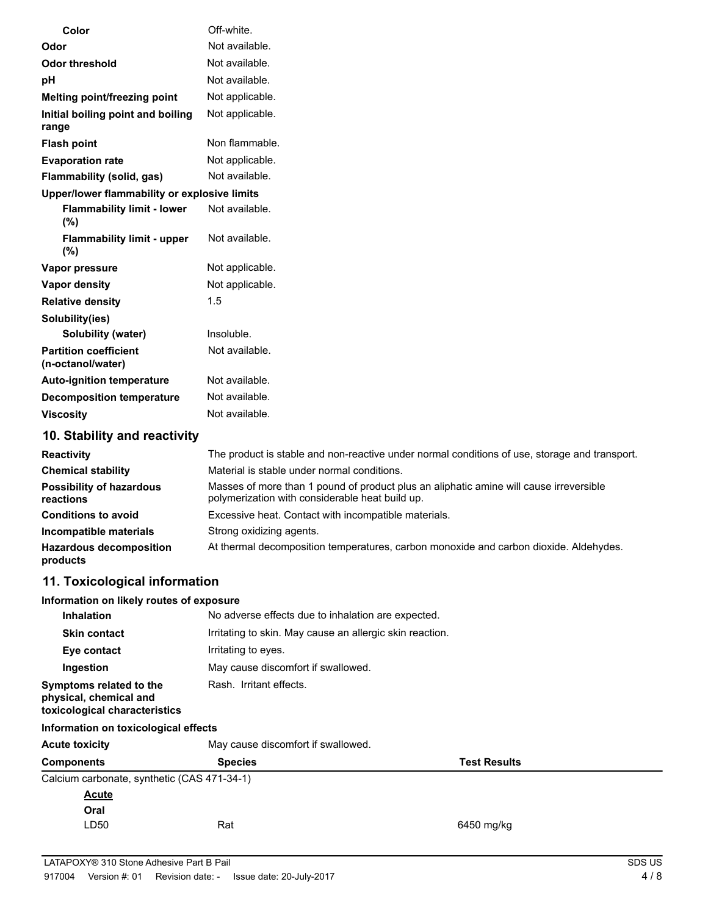| Color                                             | Off-white.                                                                                                                                |
|---------------------------------------------------|-------------------------------------------------------------------------------------------------------------------------------------------|
| Odor                                              | Not available.                                                                                                                            |
| <b>Odor threshold</b>                             | Not available.                                                                                                                            |
| рH                                                | Not available.                                                                                                                            |
| Melting point/freezing point                      | Not applicable.                                                                                                                           |
| Initial boiling point and boiling<br>range        | Not applicable.                                                                                                                           |
| <b>Flash point</b>                                | Non flammable.                                                                                                                            |
| <b>Evaporation rate</b>                           | Not applicable.                                                                                                                           |
| Flammability (solid, gas)                         | Not available.                                                                                                                            |
| Upper/lower flammability or explosive limits      |                                                                                                                                           |
| <b>Flammability limit - lower</b><br>$(\%)$       | Not available.                                                                                                                            |
| <b>Flammability limit - upper</b><br>$(\%)$       | Not available.                                                                                                                            |
| Vapor pressure                                    | Not applicable.                                                                                                                           |
| Vapor density                                     | Not applicable.                                                                                                                           |
| <b>Relative density</b>                           | 1.5                                                                                                                                       |
| Solubility(ies)                                   |                                                                                                                                           |
| Solubility (water)                                | Insoluble.                                                                                                                                |
| <b>Partition coefficient</b><br>(n-octanol/water) | Not available.                                                                                                                            |
| <b>Auto-ignition temperature</b>                  | Not available.                                                                                                                            |
| <b>Decomposition temperature</b>                  | Not available.                                                                                                                            |
| <b>Viscosity</b>                                  | Not available.                                                                                                                            |
| 10. Stability and reactivity                      |                                                                                                                                           |
| <b>Reactivity</b>                                 | The product is stable and non-reactive under normal conditions of use, storage and transport.                                             |
| <b>Chemical stability</b>                         | Material is stable under normal conditions.                                                                                               |
| <b>Possibility of hazardous</b><br>reactions      | Masses of more than 1 pound of product plus an aliphatic amine will cause irreversible<br>polymerization with considerable heat build up. |
| <b>Conditions to avoid</b>                        | Excessive heat. Contact with incompatible materials.                                                                                      |
| Incompatible materials                            | Strong oxidizing agents.                                                                                                                  |
| <b>Hazardous decomposition</b><br>products        | At thermal decomposition temperatures, carbon monoxide and carbon dioxide. Aldehydes.                                                     |
| 11. Toxicological information                     |                                                                                                                                           |
| Information on likely routes of exposure          |                                                                                                                                           |
|                                                   |                                                                                                                                           |

| <b>Inhalation</b>                                                                  | No adverse effects due to inhalation are expected.       |
|------------------------------------------------------------------------------------|----------------------------------------------------------|
| <b>Skin contact</b>                                                                | Irritating to skin. May cause an allergic skin reaction. |
| Eye contact                                                                        | Irritating to eyes.                                      |
| Ingestion                                                                          | May cause discomfort if swallowed.                       |
| Symptoms related to the<br>physical, chemical and<br>toxicological characteristics | Rash. Irritant effects.                                  |

#### **Information on toxicological effects**

| <b>Acute toxicity</b>                       | May cause discomfort if swallowed. |                     |
|---------------------------------------------|------------------------------------|---------------------|
| <b>Components</b>                           | <b>Species</b>                     | <b>Test Results</b> |
| Calcium carbonate, synthetic (CAS 471-34-1) |                                    |                     |
| <b>Acute</b>                                |                                    |                     |
| Oral                                        |                                    |                     |
| LD50                                        | Rat                                | 6450 mg/kg          |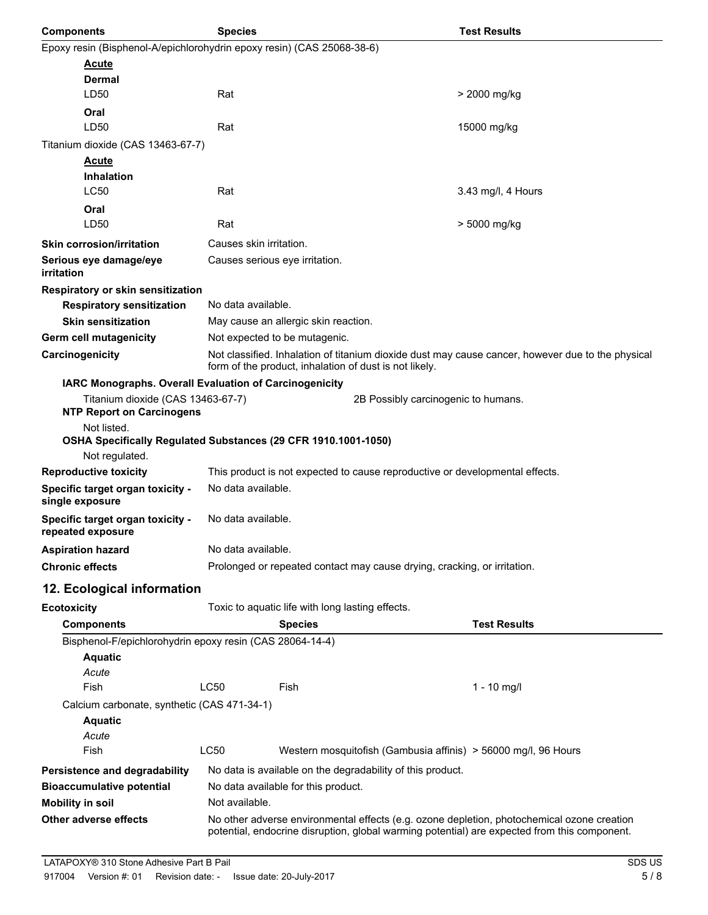| <b>Components</b>                                                      | <b>Species</b>                                                                                                                                              | <b>Test Results</b> |
|------------------------------------------------------------------------|-------------------------------------------------------------------------------------------------------------------------------------------------------------|---------------------|
| Epoxy resin (Bisphenol-A/epichlorohydrin epoxy resin) (CAS 25068-38-6) |                                                                                                                                                             |                     |
| <u>Acute</u>                                                           |                                                                                                                                                             |                     |
| Dermal                                                                 |                                                                                                                                                             |                     |
| LD50                                                                   | Rat                                                                                                                                                         | > 2000 mg/kg        |
| Oral<br>LD50                                                           | Rat                                                                                                                                                         | 15000 mg/kg         |
| Titanium dioxide (CAS 13463-67-7)                                      |                                                                                                                                                             |                     |
| <b>Acute</b>                                                           |                                                                                                                                                             |                     |
| Inhalation                                                             |                                                                                                                                                             |                     |
| <b>LC50</b>                                                            | Rat                                                                                                                                                         | 3.43 mg/l, 4 Hours  |
| Oral                                                                   |                                                                                                                                                             |                     |
| LD50                                                                   | Rat                                                                                                                                                         | > 5000 mg/kg        |
| <b>Skin corrosion/irritation</b>                                       | Causes skin irritation.                                                                                                                                     |                     |
| Serious eye damage/eye<br>irritation                                   | Causes serious eye irritation.                                                                                                                              |                     |
| Respiratory or skin sensitization                                      |                                                                                                                                                             |                     |
| <b>Respiratory sensitization</b>                                       | No data available.                                                                                                                                          |                     |
| <b>Skin sensitization</b>                                              | May cause an allergic skin reaction.                                                                                                                        |                     |
| <b>Germ cell mutagenicity</b>                                          | Not expected to be mutagenic.                                                                                                                               |                     |
| Carcinogenicity                                                        | Not classified. Inhalation of titanium dioxide dust may cause cancer, however due to the physical<br>form of the product, inhalation of dust is not likely. |                     |
|                                                                        | IARC Monographs. Overall Evaluation of Carcinogenicity                                                                                                      |                     |
| Titanium dioxide (CAS 13463-67-7)<br><b>NTP Report on Carcinogens</b>  | 2B Possibly carcinogenic to humans.                                                                                                                         |                     |
| Not listed.                                                            |                                                                                                                                                             |                     |
|                                                                        | OSHA Specifically Regulated Substances (29 CFR 1910.1001-1050)                                                                                              |                     |
| Not regulated.                                                         |                                                                                                                                                             |                     |
| <b>Reproductive toxicity</b>                                           | This product is not expected to cause reproductive or developmental effects.                                                                                |                     |
| Specific target organ toxicity -<br>single exposure                    | No data available.                                                                                                                                          |                     |
| Specific target organ toxicity -<br>repeated exposure                  | No data available.                                                                                                                                          |                     |
| <b>Aspiration hazard</b>                                               | No data available.                                                                                                                                          |                     |
| <b>Chronic effects</b>                                                 | Prolonged or repeated contact may cause drying, cracking, or irritation.                                                                                    |                     |
| 12. Ecological information                                             |                                                                                                                                                             |                     |
| <b>Ecotoxicity</b>                                                     | Toxic to aquatic life with long lasting effects.                                                                                                            |                     |
| <b>Components</b>                                                      | <b>Species</b>                                                                                                                                              | <b>Test Results</b> |
| Bisphenol-F/epichlorohydrin epoxy resin (CAS 28064-14-4)               |                                                                                                                                                             |                     |
| <b>Aquatic</b>                                                         |                                                                                                                                                             |                     |
| Acute                                                                  |                                                                                                                                                             |                     |
| Fish                                                                   | <b>LC50</b><br>Fish                                                                                                                                         | 1 - 10 mg/l         |
| Calcium carbonate, synthetic (CAS 471-34-1)<br><b>Aquatic</b><br>Acute |                                                                                                                                                             |                     |
| Fish                                                                   | LC50<br>Western mosquitofish (Gambusia affinis) > 56000 mg/l, 96 Hours                                                                                      |                     |
| Persistence and degradability                                          | No data is available on the degradability of this product.                                                                                                  |                     |
| <b>Bioaccumulative potential</b>                                       | No data available for this product.                                                                                                                         |                     |
| <b>Mobility in soil</b>                                                | Not available.                                                                                                                                              |                     |
| Other adverse effects                                                  | No other adverse environmental effects (e.g. ozone depletion, photochemical ozone creation                                                                  |                     |
|                                                                        | potential, endocrine disruption, global warming potential) are expected from this component.                                                                |                     |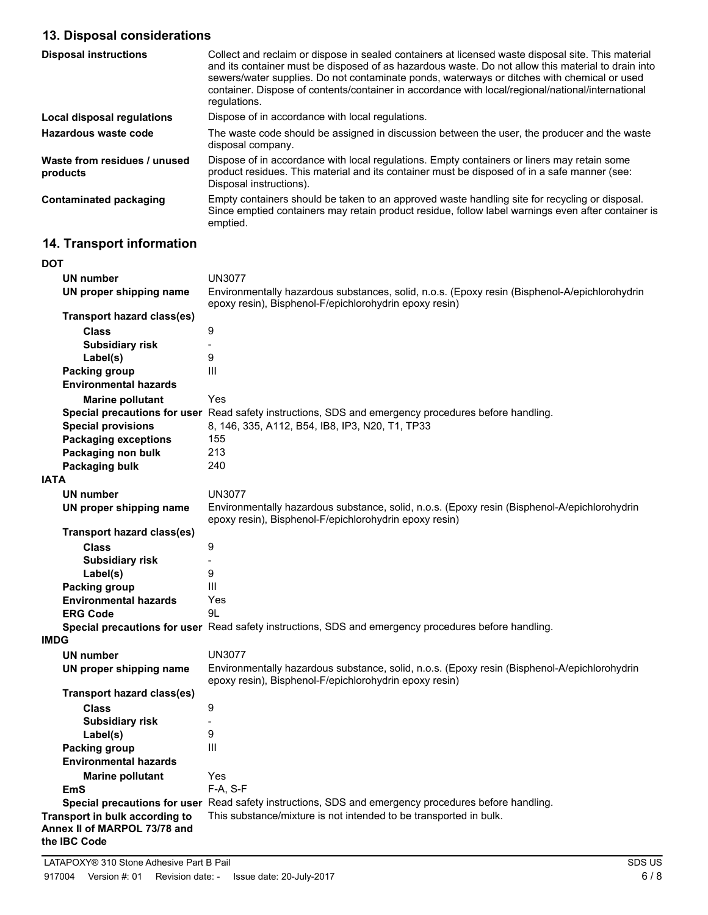# **13. Disposal considerations**

| <b>Disposal instructions</b>             | Collect and reclaim or dispose in sealed containers at licensed waste disposal site. This material<br>and its container must be disposed of as hazardous waste. Do not allow this material to drain into<br>sewers/water supplies. Do not contaminate ponds, waterways or ditches with chemical or used<br>container. Dispose of contents/container in accordance with local/regional/national/international<br>requlations. |
|------------------------------------------|------------------------------------------------------------------------------------------------------------------------------------------------------------------------------------------------------------------------------------------------------------------------------------------------------------------------------------------------------------------------------------------------------------------------------|
| <b>Local disposal regulations</b>        | Dispose of in accordance with local regulations.                                                                                                                                                                                                                                                                                                                                                                             |
| Hazardous waste code                     | The waste code should be assigned in discussion between the user, the producer and the waste<br>disposal company.                                                                                                                                                                                                                                                                                                            |
| Waste from residues / unused<br>products | Dispose of in accordance with local regulations. Empty containers or liners may retain some<br>product residues. This material and its container must be disposed of in a safe manner (see:<br>Disposal instructions).                                                                                                                                                                                                       |
| <b>Contaminated packaging</b>            | Empty containers should be taken to an approved waste handling site for recycling or disposal.<br>Since emptied containers may retain product residue, follow label warnings even after container is<br>emptied.                                                                                                                                                                                                             |

# **14. Transport information**

| DOT                                                                            |                                                                                                                                                         |
|--------------------------------------------------------------------------------|---------------------------------------------------------------------------------------------------------------------------------------------------------|
| <b>UN number</b>                                                               | <b>UN3077</b>                                                                                                                                           |
| UN proper shipping name                                                        | Environmentally hazardous substances, solid, n.o.s. (Epoxy resin (Bisphenol-A/epichlorohydrin<br>epoxy resin), Bisphenol-F/epichlorohydrin epoxy resin) |
| <b>Transport hazard class(es)</b>                                              |                                                                                                                                                         |
| <b>Class</b>                                                                   | 9                                                                                                                                                       |
| <b>Subsidiary risk</b>                                                         |                                                                                                                                                         |
| Label(s)                                                                       | 9                                                                                                                                                       |
| <b>Packing group</b>                                                           | Ш                                                                                                                                                       |
| <b>Environmental hazards</b>                                                   |                                                                                                                                                         |
| <b>Marine pollutant</b>                                                        | Yes                                                                                                                                                     |
|                                                                                | Special precautions for user Read safety instructions, SDS and emergency procedures before handling.                                                    |
| <b>Special provisions</b>                                                      | 8, 146, 335, A112, B54, IB8, IP3, N20, T1, TP33                                                                                                         |
| <b>Packaging exceptions</b>                                                    | 155                                                                                                                                                     |
| Packaging non bulk                                                             | 213                                                                                                                                                     |
| <b>Packaging bulk</b>                                                          | 240                                                                                                                                                     |
| IATA                                                                           |                                                                                                                                                         |
| <b>UN number</b>                                                               | <b>UN3077</b>                                                                                                                                           |
| UN proper shipping name                                                        | Environmentally hazardous substance, solid, n.o.s. (Epoxy resin (Bisphenol-A/epichlorohydrin<br>epoxy resin), Bisphenol-F/epichlorohydrin epoxy resin)  |
| <b>Transport hazard class(es)</b>                                              |                                                                                                                                                         |
| <b>Class</b>                                                                   | 9                                                                                                                                                       |
| <b>Subsidiary risk</b>                                                         |                                                                                                                                                         |
| Label(s)                                                                       | 9                                                                                                                                                       |
| <b>Packing group</b>                                                           | Ш                                                                                                                                                       |
| <b>Environmental hazards</b>                                                   | Yes                                                                                                                                                     |
| <b>ERG Code</b>                                                                | 9L                                                                                                                                                      |
|                                                                                | <b>Special precautions for user</b> Read safety instructions, SDS and emergency procedures before handling.                                             |
| IMDG                                                                           |                                                                                                                                                         |
| <b>UN number</b>                                                               | <b>UN3077</b>                                                                                                                                           |
| UN proper shipping name                                                        | Environmentally hazardous substance, solid, n.o.s. (Epoxy resin (Bisphenol-A/epichlorohydrin<br>epoxy resin), Bisphenol-F/epichlorohydrin epoxy resin)  |
| <b>Transport hazard class(es)</b>                                              |                                                                                                                                                         |
| <b>Class</b>                                                                   | 9                                                                                                                                                       |
| <b>Subsidiary risk</b>                                                         |                                                                                                                                                         |
| Label(s)                                                                       | 9                                                                                                                                                       |
| Packing group                                                                  | Ш                                                                                                                                                       |
| <b>Environmental hazards</b>                                                   |                                                                                                                                                         |
| <b>Marine pollutant</b>                                                        | Yes                                                                                                                                                     |
| EmS                                                                            | F-A, S-F                                                                                                                                                |
|                                                                                | Special precautions for user Read safety instructions, SDS and emergency procedures before handling.                                                    |
| Transport in bulk according to<br>Annex II of MARPOL 73/78 and<br>the IBC Code | This substance/mixture is not intended to be transported in bulk.                                                                                       |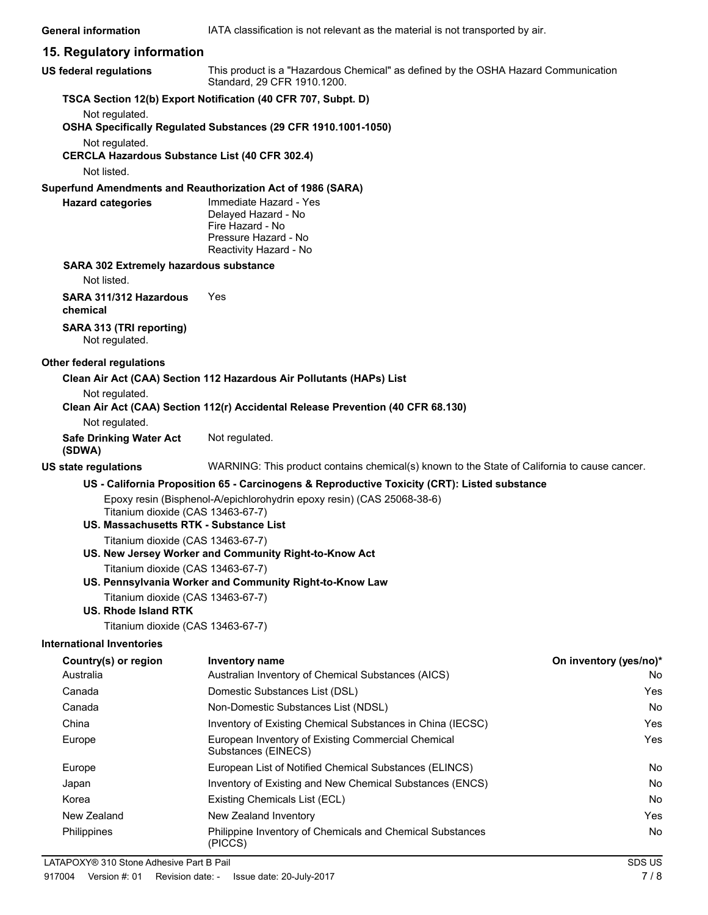#### **15. Regulatory information**

| <b>US federal regulations</b>                                               | This product is a "Hazardous Chemical" as defined by the OSHA Hazard Communication<br>Standard, 29 CFR 1910.1200. |                        |
|-----------------------------------------------------------------------------|-------------------------------------------------------------------------------------------------------------------|------------------------|
|                                                                             | TSCA Section 12(b) Export Notification (40 CFR 707, Subpt. D)                                                     |                        |
| Not regulated.                                                              |                                                                                                                   |                        |
|                                                                             | OSHA Specifically Regulated Substances (29 CFR 1910.1001-1050)                                                    |                        |
| Not regulated.<br><b>CERCLA Hazardous Substance List (40 CFR 302.4)</b>     |                                                                                                                   |                        |
| Not listed.                                                                 |                                                                                                                   |                        |
|                                                                             | Superfund Amendments and Reauthorization Act of 1986 (SARA)                                                       |                        |
| <b>Hazard categories</b>                                                    | Immediate Hazard - Yes<br>Delayed Hazard - No<br>Fire Hazard - No<br>Pressure Hazard - No                         |                        |
|                                                                             | Reactivity Hazard - No                                                                                            |                        |
| <b>SARA 302 Extremely hazardous substance</b>                               |                                                                                                                   |                        |
| Not listed.                                                                 |                                                                                                                   |                        |
| SARA 311/312 Hazardous<br>chemical                                          | Yes                                                                                                               |                        |
| SARA 313 (TRI reporting)<br>Not regulated.                                  |                                                                                                                   |                        |
| Other federal regulations                                                   |                                                                                                                   |                        |
|                                                                             | Clean Air Act (CAA) Section 112 Hazardous Air Pollutants (HAPs) List                                              |                        |
| Not regulated.                                                              | Clean Air Act (CAA) Section 112(r) Accidental Release Prevention (40 CFR 68.130)                                  |                        |
| Not regulated.                                                              |                                                                                                                   |                        |
| <b>Safe Drinking Water Act</b><br>(SDWA)                                    | Not regulated.                                                                                                    |                        |
| <b>US state regulations</b>                                                 | WARNING: This product contains chemical(s) known to the State of California to cause cancer.                      |                        |
|                                                                             | US - California Proposition 65 - Carcinogens & Reproductive Toxicity (CRT): Listed substance                      |                        |
| Titanium dioxide (CAS 13463-67-7)<br>US. Massachusetts RTK - Substance List | Epoxy resin (Bisphenol-A/epichlorohydrin epoxy resin) (CAS 25068-38-6)                                            |                        |
| Titanium dioxide (CAS 13463-67-7)                                           |                                                                                                                   |                        |
|                                                                             | US. New Jersey Worker and Community Right-to-Know Act                                                             |                        |
| Titanium dioxide (CAS 13463-67-7)                                           |                                                                                                                   |                        |
|                                                                             | US. Pennsylvania Worker and Community Right-to-Know Law                                                           |                        |
| Titanium dioxide (CAS 13463-67-7)<br><b>US. Rhode Island RTK</b>            |                                                                                                                   |                        |
| Titanium dioxide (CAS 13463-67-7)                                           |                                                                                                                   |                        |
| <b>International Inventories</b>                                            |                                                                                                                   |                        |
| Country(s) or region<br>Australia                                           | <b>Inventory name</b>                                                                                             | On inventory (yes/no)* |
| Canada                                                                      | Australian Inventory of Chemical Substances (AICS)<br>Domestic Substances List (DSL)                              | No<br>Yes              |
| Canada                                                                      | Non-Domestic Substances List (NDSL)                                                                               | No                     |
| China                                                                       | Inventory of Existing Chemical Substances in China (IECSC)                                                        | Yes                    |
| Europe                                                                      | European Inventory of Existing Commercial Chemical                                                                | Yes                    |
|                                                                             | Substances (EINECS)                                                                                               |                        |
| Europe                                                                      | European List of Notified Chemical Substances (ELINCS)                                                            | No                     |

Japan Inventory of Existing and New Chemical Substances (ENCS) No No Korea **Existing Chemicals List (ECL)** No **No** New Zealand New Zealand Inventory **New Zealand Inventory New Zealand Inventory New Zealand Inventory** Philippines **Example Inventory of Chemicals and Chemical Substances No No No** 

(PICCS)